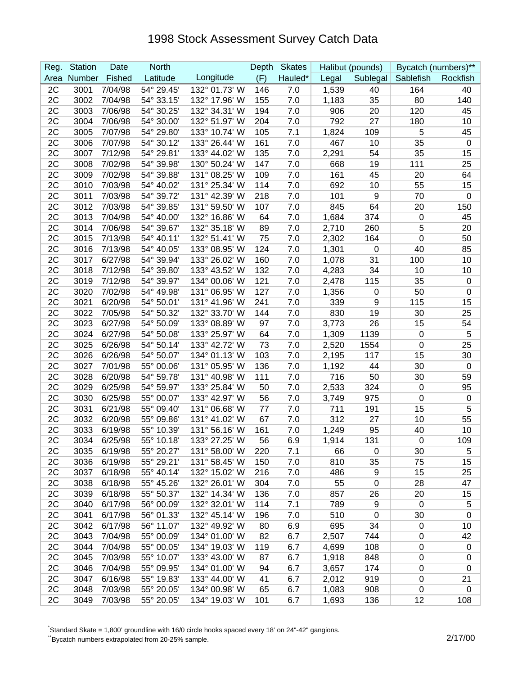## 1998 Stock Assessment Survey Catch Data

| Reg. | <b>Station</b> | Date    | <b>North</b> |               | Depth | <b>Skates</b> |       | Halibut (pounds) |             | Bycatch (numbers)** |
|------|----------------|---------|--------------|---------------|-------|---------------|-------|------------------|-------------|---------------------|
| Area | Number         | Fished  | Latitude     | Longitude     | (F)   | Hauled*       | Legal | Sublegal         | Sablefish   | Rockfish            |
| 2C   | 3001           | 7/04/98 | 54° 29.45'   | 132° 01.73' W | 146   | 7.0           | 1,539 | 40               | 164         | 40                  |
| 2C   | 3002           | 7/04/98 | 54° 33.15'   | 132° 17.96' W | 155   | 7.0           | 1,183 | 35               | 80          | 140                 |
| 2C   | 3003           | 7/06/98 | 54° 30.25'   | 132° 34.31' W | 194   | 7.0           | 906   | 20               | 120         | 45                  |
| 2C   | 3004           | 7/06/98 | 54° 30.00'   | 132° 51.97' W | 204   | 7.0           | 792   | 27               | 180         | 10                  |
| 2C   | 3005           | 7/07/98 | 54° 29.80'   | 133° 10.74' W | 105   | 7.1           | 1,824 | 109              | 5           | 45                  |
| 2C   | 3006           | 7/07/98 | 54° 30.12'   | 133° 26.44' W | 161   | 7.0           | 467   | 10               | 35          | $\mathbf 0$         |
| 2C   | 3007           | 7/12/98 | 54° 29.81'   | 133° 44.02' W | 135   | 7.0           | 2,291 | 54               | 35          | 15                  |
| 2C   | 3008           | 7/02/98 | 54° 39.98'   | 130° 50.24' W | 147   | 7.0           | 668   | 19               | 111         | 25                  |
| 2C   | 3009           | 7/02/98 | 54° 39.88'   | 131° 08.25' W | 109   | 7.0           | 161   | 45               | 20          | 64                  |
| 2C   | 3010           | 7/03/98 | 54° 40.02'   | 131° 25.34' W | 114   | 7.0           | 692   | 10               | 55          | 15                  |
| 2C   | 3011           | 7/03/98 | 54° 39.72'   | 131° 42.39' W | 218   | 7.0           | 101   | $\boldsymbol{9}$ | 70          | 0                   |
| 2C   | 3012           | 7/03/98 | 54° 39.85'   | 131° 59.50' W | 107   | 7.0           | 845   | 64               | 20          | 150                 |
| 2C   | 3013           | 7/04/98 | 54° 40.00'   | 132° 16.86' W | 64    | 7.0           | 1,684 | 374              | $\mathbf 0$ | 45                  |
| 2C   | 3014           | 7/06/98 | 54° 39.67'   | 132° 35.18' W | 89    | 7.0           | 2,710 | 260              | 5           | 20                  |
| 2C   | 3015           | 7/13/98 | 54° 40.11'   | 132° 51.41' W | 75    | 7.0           | 2,302 | 164              | $\mathbf 0$ | 50                  |
| 2C   | 3016           | 7/13/98 | 54° 40.05'   | 133° 08.95' W | 124   | 7.0           | 1,301 | $\mathbf 0$      | 40          | 85                  |
| 2C   | 3017           | 6/27/98 | 54° 39.94'   | 133° 26.02' W | 160   | 7.0           | 1,078 | 31               | 100         | 10                  |
| 2C   | 3018           | 7/12/98 | 54° 39.80'   | 133° 43.52' W | 132   | 7.0           | 4,283 | 34               | 10          | 10                  |
| 2C   | 3019           | 7/12/98 | 54° 39.97'   | 134° 00.06' W | 121   | 7.0           | 2,478 | 115              | 35          | $\mathbf 0$         |
| 2C   | 3020           | 7/02/98 | 54° 49.98'   | 131° 06.95' W | 127   | 7.0           | 1,356 | $\mathbf 0$      | 50          | 0                   |
| 2C   | 3021           | 6/20/98 | 54° 50.01'   | 131° 41.96' W | 241   | 7.0           | 339   | 9                | 115         | 15                  |
| 2C   | 3022           | 7/05/98 | 54° 50.32'   | 132° 33.70' W | 144   | 7.0           | 830   | 19               | 30          | 25                  |
| 2C   | 3023           | 6/27/98 | 54° 50.09'   | 133° 08.89' W | 97    | 7.0           | 3,773 | 26               | 15          | 54                  |
| 2C   | 3024           | 6/27/98 | 54° 50.08'   | 133° 25.97' W | 64    | 7.0           | 1,309 | 1139             | $\mathbf 0$ | 5                   |
| 2C   | 3025           | 6/26/98 | 54° 50.14'   | 133° 42.72' W | 73    | 7.0           | 2,520 | 1554             | $\mathbf 0$ | 25                  |
| 2C   | 3026           | 6/26/98 | 54° 50.07'   | 134° 01.13' W | 103   | 7.0           | 2,195 | 117              | 15          | 30                  |
| 2C   | 3027           | 7/01/98 | 55° 00.06'   | 131° 05.95' W | 136   | 7.0           | 1,192 | 44               | 30          | $\mathbf 0$         |
| 2C   | 3028           | 6/20/98 | 54° 59.78'   | 131° 40.98' W | 111   | 7.0           | 716   | 50               | 30          | 59                  |
| 2C   | 3029           | 6/25/98 | 54° 59.97'   | 133° 25.84' W | 50    | 7.0           | 2,533 | 324              | $\mathbf 0$ | 95                  |
| 2C   | 3030           | 6/25/98 | 55° 00.07'   | 133° 42.97' W | 56    | 7.0           | 3,749 | 975              | $\mathbf 0$ | $\mathbf 0$         |
| 2C   | 3031           | 6/21/98 | 55° 09.40'   | 131° 06.68' W | 77    | 7.0           | 711   | 191              | 15          | 5                   |
| 2C   | 3032           | 6/20/98 | 55° 09.86'   | 131° 41.02' W | 67    | 7.0           | 312   | 27               | 10          | 55                  |
| 2C   | 3033           | 6/19/98 | 55° 10.39'   | 131° 56.16' W | 161   | 7.0           | 1,249 | 95               | 40          | 10                  |
| 2C   | 3034           | 6/25/98 | 55° 10.18'   | 133° 27.25' W | 56    | 6.9           | 1,914 | 131              | 0           | 109                 |
| 2C   | 3035           | 6/19/98 | 55° 20.27'   | 131° 58.00' W | 220   | 7.1           | 66    | $\mathbf 0$      | 30          | 5                   |
| 2C   | 3036           | 6/19/98 | 55° 29.21'   | 131° 58.45' W | 150   | 7.0           | 810   | 35               | 75          | 15                  |
| 2C   | 3037           | 6/18/98 | 55° 40.14'   | 132° 15.02' W | 216   | 7.0           | 486   | 9                | 15          | 25                  |
| 2C   | 3038           | 6/18/98 | 55° 45.26'   | 132° 26.01' W | 304   | 7.0           | 55    | $\boldsymbol{0}$ | 28          | 47                  |
| 2C   | 3039           | 6/18/98 | 55° 50.37'   | 132° 14.34' W | 136   | 7.0           | 857   | 26               | 20          | 15                  |
| 2C   | 3040           | 6/17/98 | 56° 00.09'   | 132° 32.01' W | 114   | 7.1           | 789   | 9                | 0           | 5                   |
| 2C   | 3041           | 6/17/98 | 56° 01.33'   | 132° 45.14' W | 196   | 7.0           | 510   | $\mathbf 0$      | 30          | $\mathbf 0$         |
| 2C   | 3042           | 6/17/98 | 56° 11.07'   | 132° 49.92' W | 80    | 6.9           | 695   | 34               | 0           | 10                  |
| 2C   | 3043           | 7/04/98 | 55° 00.09'   | 134° 01.00' W | 82    | 6.7           | 2,507 | 744              | 0           | 42                  |
| 2C   | 3044           | 7/04/98 | 55° 00.05'   | 134° 19.03' W | 119   | 6.7           | 4,699 | 108              | 0           | $\boldsymbol{0}$    |
| 2C   | 3045           | 7/03/98 | 55° 10.07'   | 133° 43.00' W | 87    | 6.7           | 1,918 | 848              | $\mathbf 0$ | 0                   |
| 2C   | 3046           | 7/04/98 | 55° 09.95'   | 134° 01.00' W | 94    | 6.7           | 3,657 | 174              | 0           | 0                   |
| 2C   | 3047           | 6/16/98 | 55° 19.83'   | 133° 44.00' W | 41    | 6.7           | 2,012 | 919              | $\pmb{0}$   | 21                  |
| 2C   | 3048           | 7/03/98 | 55° 20.05'   | 134° 00.98' W | 65    | 6.7           | 1,083 | 908              | $\mathbf 0$ | $\mathbf 0$         |
| 2C   | 3049           | 7/03/98 | 55° 20.05'   | 134° 19.03' W | 101   | 6.7           | 1,693 | 136              | 12          | 108                 |

\* Standard Skate = 1,800' groundline with 16/0 circle hooks spaced every 18' on 24"-42" gangions.

\*Bycatch numbers extrapolated from 20-25% sample. 2/17/00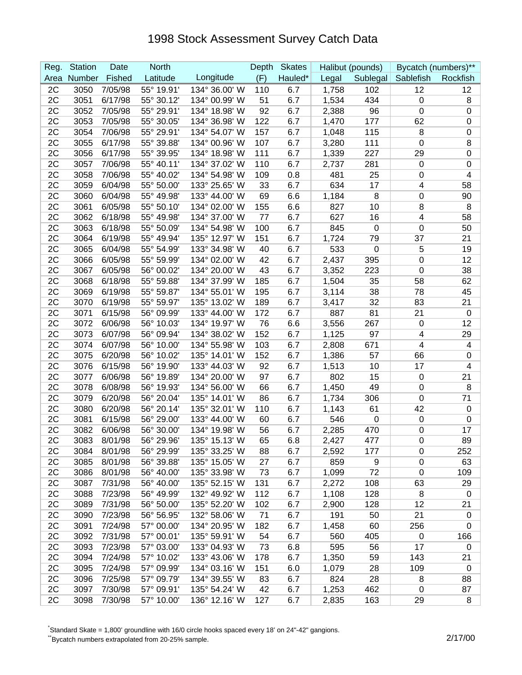## 1998 Stock Assessment Survey Catch Data

| Reg. | <b>Station</b> | Date    | <b>North</b> |               | Depth | <b>Skates</b> |       | Halibut (pounds) | Bycatch (numbers)** |                |
|------|----------------|---------|--------------|---------------|-------|---------------|-------|------------------|---------------------|----------------|
| Area | Number         | Fished  | Latitude     | Longitude     | (F)   | Hauled*       | Legal | Sublegal         | Sablefish           | Rockfish       |
| 2C   | 3050           | 7/05/98 | 55° 19.91'   | 134° 36.00' W | 110   | 6.7           | 1,758 | 102              | 12                  | 12             |
| 2C   | 3051           | 6/17/98 | 55° 30.12'   | 134° 00.99' W | 51    | 6.7           | 1,534 | 434              | 0                   | 8              |
| 2C   | 3052           | 7/05/98 | 55° 29.91'   | 134° 18.98' W | 92    | 6.7           | 2,388 | 96               | $\mathbf 0$         | $\pmb{0}$      |
| 2C   | 3053           | 7/05/98 | 55° 30.05'   | 134° 36.98' W | 122   | 6.7           | 1,470 | 177              | 62                  | 0              |
| 2C   | 3054           | 7/06/98 | 55° 29.91'   | 134° 54.07' W | 157   | 6.7           | 1,048 | 115              | 8                   | 0              |
| 2C   | 3055           | 6/17/98 | 55° 39.88'   | 134° 00.96' W | 107   | 6.7           | 3,280 | 111              | 0                   | 8              |
| 2C   | 3056           | 6/17/98 | 55° 39.95'   | 134° 18.98' W | 111   | 6.7           | 1,339 | 227              | 29                  | 0              |
| 2C   | 3057           | 7/06/98 | 55° 40.11'   | 134° 37.02' W | 110   | 6.7           | 2,737 | 281              | $\mathbf 0$         | $\mathbf 0$    |
| 2C   | 3058           | 7/06/98 | 55° 40.02'   | 134° 54.98' W | 109   | 0.8           | 481   | 25               | $\mathbf 0$         | 4              |
| 2C   | 3059           | 6/04/98 | 55° 50.00'   | 133° 25.65' W | 33    | 6.7           | 634   | 17               | 4                   | 58             |
| 2C   | 3060           | 6/04/98 | 55° 49.98'   | 133° 44.00' W | 69    | 6.6           | 1,184 | 8                | $\boldsymbol{0}$    | 90             |
| 2C   | 3061           | 6/05/98 | 55° 50.10'   | 134° 02.00' W | 155   | 6.6           | 827   | 10               | 8                   | 8              |
| 2C   | 3062           | 6/18/98 | 55° 49.98'   | 134° 37.00' W | 77    | 6.7           | 627   | 16               | 4                   | 58             |
| 2C   | 3063           | 6/18/98 | 55° 50.09'   | 134° 54.98' W | 100   | 6.7           | 845   | $\mathbf 0$      | 0                   | 50             |
| 2C   | 3064           | 6/19/98 | 55° 49.94'   | 135° 12.97' W | 151   | 6.7           | 1,724 | 79               | 37                  | 21             |
| 2C   | 3065           | 6/04/98 | 55° 54.99'   | 133° 34.98' W | 40    | 6.7           | 533   | $\mathbf 0$      | 5                   | 19             |
| 2C   | 3066           | 6/05/98 | 55° 59.99'   | 134° 02.00' W | 42    | 6.7           | 2,437 | 395              | 0                   | 12             |
| 2C   | 3067           | 6/05/98 | 56° 00.02'   | 134° 20.00' W | 43    | 6.7           | 3,352 | 223              | 0                   | 38             |
| 2C   | 3068           | 6/18/98 | 55° 59.88'   | 134° 37.99' W | 185   | 6.7           | 1,504 | 35               | 58                  | 62             |
| 2C   | 3069           | 6/19/98 | 55° 59.87'   | 134° 55.01' W | 195   | 6.7           | 3,114 | 38               | 78                  | 45             |
| 2C   | 3070           | 6/19/98 | 55° 59.97'   | 135° 13.02' W | 189   | 6.7           | 3,417 | 32               | 83                  | 21             |
| 2C   | 3071           | 6/15/98 | 56° 09.99'   | 133° 44.00' W | 172   | 6.7           | 887   | 81               | 21                  | $\mathbf 0$    |
| 2C   | 3072           | 6/06/98 | 56° 10.03'   | 134° 19.97' W | 76    | 6.6           | 3,556 | 267              | $\mathbf 0$         | 12             |
| 2C   | 3073           | 6/07/98 | 56° 09.94'   | 134° 38.02' W | 152   | 6.7           | 1,125 | 97               | 4                   | 29             |
| 2C   | 3074           | 6/07/98 | 56° 10.00'   | 134° 55.98' W | 103   | 6.7           | 2,808 | 671              | 4                   | 4              |
| 2C   | 3075           | 6/20/98 | 56° 10.02'   | 135° 14.01' W | 152   | 6.7           | 1,386 | 57               | 66                  | 0              |
| 2C   | 3076           | 6/15/98 | 56° 19.90'   | 133° 44.03' W | 92    | 6.7           | 1,513 | 10               | 17                  | 4              |
| 2C   | 3077           | 6/06/98 | 56° 19.89'   | 134° 20.00' W | 97    | 6.7           | 802   | 15               | $\mathbf 0$         | 21             |
| 2C   | 3078           | 6/08/98 | 56° 19.93'   | 134° 56.00' W | 66    | 6.7           | 1,450 | 49               | $\boldsymbol{0}$    | 8              |
| 2C   | 3079           | 6/20/98 | 56° 20.04'   | 135° 14.01' W | 86    | 6.7           | 1,734 | 306              | 0                   | 71             |
| 2C   | 3080           | 6/20/98 | 56° 20.14'   | 135° 32.01' W | 110   | 6.7           | 1,143 | 61               | 42                  | $\mathbf 0$    |
| 2C   | 3081           | 6/15/98 | 56° 29.00'   | 133° 44.00' W | 60    | 6.7           | 546   | $\mathbf 0$      | $\mathbf 0$         | $\mathbf 0$    |
| 2C   | 3082           | 6/06/98 | 56° 30.00'   | 134° 19.98' W | 56    | 6.7           | 2,285 | 470              | 0                   | 17             |
| 2C   | 3083           | 8/01/98 | 56° 29.96'   | 135° 15.13' W | 65    | 6.8           | 2,427 | 477              | $\mathbf 0$         | 89             |
| 2C   | 3084           | 8/01/98 | 56° 29.99'   | 135° 33.25' W | 88    | 6.7           | 2,592 | 177              | 0                   | 252            |
| 2C   | 3085           | 8/01/98 | 56° 39.88'   | 135° 15.05' W | 27    | 6.7           | 859   | 9                | $\mathbf 0$         | 63             |
| 2C   | 3086           | 8/01/98 | 56° 40.00'   | 135° 33.98' W | 73    | 6.7           | 1,099 | 72               | $\mathbf 0$         | 109            |
| 2C   | 3087           | 7/31/98 | 56° 40.00'   | 135° 52.15' W | 131   | 6.7           | 2,272 | 108              | 63                  | 29             |
| 2C   | 3088           | 7/23/98 | 56° 49.99'   | 132° 49.92' W | 112   | 6.7           | 1,108 | 128              | 8                   | $\overline{0}$ |
| 2C   | 3089           | 7/31/98 | 56° 50.00'   | 135° 52.20' W | 102   | 6.7           | 2,900 | 128              | 12                  | 21             |
| 2C   | 3090           | 7/23/98 | 56° 56.95'   | 132° 58.06' W | 71    | 6.7           | 191   | 50               | 21                  | 0              |
| 2C   | 3091           | 7/24/98 | 57° 00.00'   | 134° 20.95' W | 182   | 6.7           | 1,458 | 60               | 256                 | 0              |
| 2C   | 3092           | 7/31/98 | 57° 00.01'   | 135° 59.91' W | 54    | 6.7           | 560   | 405              | $\mathbf 0$         | 166            |
| 2C   | 3093           | 7/23/98 | 57° 03.00'   | 133° 04.93' W | 73    | 6.8           | 595   | 56               | 17                  | 0              |
| 2C   | 3094           | 7/24/98 | 57° 10.02'   | 133° 43.06' W | 178   | 6.7           | 1,350 | 59               | 143                 | 21             |
| 2C   | 3095           | 7/24/98 | 57° 09.99'   | 134° 03.16' W | 151   | 6.0           | 1,079 | 28               | 109                 | $\overline{0}$ |
| 2C   | 3096           | 7/25/98 | 57° 09.79'   | 134° 39.55' W | 83    | 6.7           | 824   | 28               | 8                   | 88             |
| 2C   | 3097           | 7/30/98 | 57° 09.91'   | 135° 54.24' W | 42    | 6.7           | 1,253 | 462              | $\mathbf 0$         | 87             |
| 2C   | 3098           | 7/30/98 | 57° 10.00'   | 136° 12.16' W | 127   | 6.7           | 2,835 | 163              | 29                  | 8              |

\* Standard Skate = 1,800' groundline with 16/0 circle hooks spaced every 18' on 24"-42" gangions.

\*Bycatch numbers extrapolated from 20-25% sample. 2/17/00